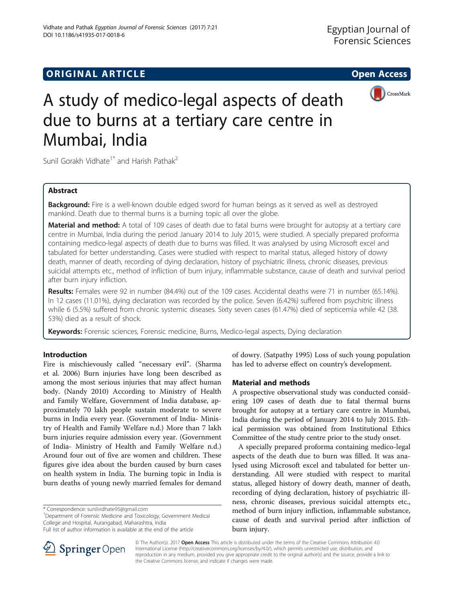## **ORIGINAL ARTICLE CONSERVANCE IN A LOCAL CONSERVANCE IN A LOCAL CONSERVANCE IN A LOCAL CONSERVANCE IN A LOCAL CONS**





# A study of medico-legal aspects of death due to burns at a tertiary care centre in Mumbai, India

Sunil Gorakh Vidhate<sup>1\*</sup> and Harish Pathak<sup>2</sup>

## Abstract

**Background:** Fire is a well-known double edged sword for human beings as it served as well as destroyed mankind. Death due to thermal burns is a burning topic all over the globe.

Material and method: A total of 109 cases of death due to fatal burns were brought for autopsy at a tertiary care centre in Mumbai, India during the period January 2014 to July 2015, were studied. A specially prepared proforma containing medico-legal aspects of death due to burns was filled. It was analysed by using Microsoft excel and tabulated for better understanding. Cases were studied with respect to marital status, alleged history of dowry death, manner of death, recording of dying declaration, history of psychiatric illness, chronic diseases, previous suicidal attempts etc., method of infliction of burn injury, inflammable substance, cause of death and survival period after burn injury infliction.

Results: Females were 92 in number (84.4%) out of the 109 cases. Accidental deaths were 71 in number (65.14%). In 12 cases (11.01%), dying declaration was recorded by the police. Seven (6.42%) suffered from psychitric illness while 6 (5.5%) suffered from chronic systemic diseases. Sixty seven cases (61.47%) died of septicemia while 42 (38. 53%) died as a result of shock.

Keywords: Forensic sciences, Forensic medicine, Burns, Medico-legal aspects, Dying declaration

## Introduction

Fire is mischievously called "necessary evil". (Sharma et al. [2006](#page-4-0)) Burn injuries have long been described as among the most serious injuries that may affect human body. (Nandy [2010](#page-4-0)) According to Ministry of Health and Family Welfare, Government of India database, approximately 70 lakh people sustain moderate to severe burns in India every year. (Government of India- Ministry of Health and Family Welfare [n.d.](#page-4-0)) More than 7 lakh burn injuries require admission every year. (Government of India- Ministry of Health and Family Welfare [n.d](#page-4-0).) Around four out of five are women and children. These figures give idea about the burden caused by burn cases on health system in India. The burning topic in India is burn deaths of young newly married females for demand

\* Correspondence: [sunilvidhate95@gmail.com](mailto:sunilvidhate95@gmail.com) <sup>1</sup>

Department of Forensic Medicine and Toxicology, Government Medical College and Hospital, Aurangabad, Maharashtra, India

of dowry. (Satpathy [1995\)](#page-4-0) Loss of such young population has led to adverse effect on country's development.

## Material and methods

A prospective observational study was conducted considering 109 cases of death due to fatal thermal burns brought for autopsy at a tertiary care centre in Mumbai, India during the period of January 2014 to July 2015. Ethical permission was obtained from Institutional Ethics Committee of the study centre prior to the study onset.

A specially prepared proforma containing medico-legal aspects of the death due to burn was filled. It was analysed using Microsoft excel and tabulated for better understanding. All were studied with respect to marital status, alleged history of dowry death, manner of death, recording of dying declaration, history of psychiatric illness, chronic diseases, previous suicidal attempts etc., method of burn injury infliction, inflammable substance, cause of death and survival period after infliction of burn injury.



© The Author(s). 2017 Open Access This article is distributed under the terms of the Creative Commons Attribution 4.0 International License ([http://creativecommons.org/licenses/by/4.0/\)](http://creativecommons.org/licenses/by/4.0/), which permits unrestricted use, distribution, and reproduction in any medium, provided you give appropriate credit to the original author(s) and the source, provide a link to the Creative Commons license, and indicate if changes were made.

Full list of author information is available at the end of the article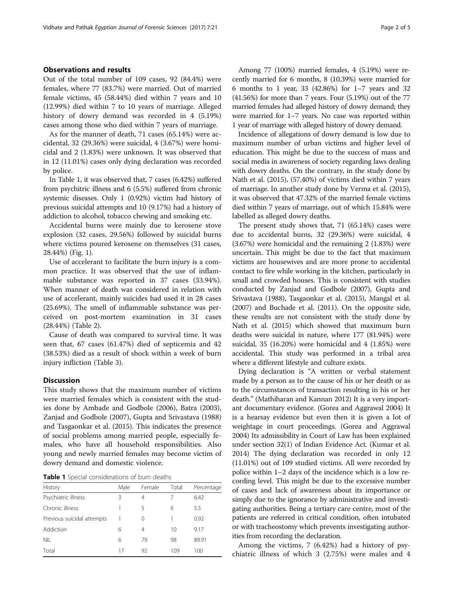### Observations and results

Out of the total number of 109 cases, 92 (84.4%) were females, where 77 (83.7%) were married. Out of married female victims, 45 (58.44%) died within 7 years and 10 (12.99%) died within 7 to 10 years of marriage. Alleged history of dowry demand was recorded in 4 (5.19%) cases among those who died within 7 years of marriage.

As for the manner of death, 71 cases (65.14%) were accidental, 32 (29.36%) were suicidal, 4 (3.67%) were homicidal and 2 (1.83%) were unknown. It was observed that in 12 (11.01%) cases only dying declaration was recorded by police.

In Table 1, it was observed that, 7 cases (6.42%) suffered from psychitric illness and 6 (5.5%) suffered from chronic systemic diseases. Only 1 (0.92%) victim had history of previous suicidal attempts and 10 (9.17%) had a history of addiction to alcohol, tobacco chewing and smoking etc.

Accidental burns were mainly due to kerosene stove explosion (32 cases, 29.56%) followed by suicidal burns where victims poured kerosene on themselves (31 cases, 28.44%) (Fig. [1\)](#page-2-0).

Use of accelerant to facilitate the burn injury is a common practice. It was observed that the use of inflammable substance was reported in 37 cases (33.94%). When manner of death was considered in relation with use of accelerant, mainly suicides had used it in 28 cases (25.69%). The smell of inflammable substance was perceived on post-mortem examination in 31 cases (28.44%) (Table [2\)](#page-2-0).

Cause of death was compared to survival time. It was seen that, 67 cases (61.47%) died of septicemia and 42 (38.53%) died as a result of shock within a week of burn injury infliction (Table [3](#page-2-0)).

#### **Discussion**

This study shows that the maximum number of victims were married females which is consistent with the studies done by Ambade and Godbole [\(2006\)](#page-4-0), Batra ([2003](#page-4-0)), Zanjad and Godbole ([2007\)](#page-4-0), Gupta and Srivastava ([1988](#page-4-0)) and Tasgaonkar et al. ([2015](#page-4-0)). This indicates the presence of social problems among married people, especially females, who have all household responsibilities. Also young and newly married females may become victim of dowry demand and domestic violence.

Table 1 Special considerations of burn deaths

| History                    | Male | Female | Total | Percentage |
|----------------------------|------|--------|-------|------------|
| Psychiatric illness        | 3    | 4      |       | 6.42       |
| Chronic illness            |      | 5      | 6     | 5.5        |
| Previous suicidal attempts |      | 0      | 1     | 0.92       |
| Addiction                  | 6    | 4      | 10    | 9.17       |
| <b>NIL</b>                 | 6    | 79     | 98    | 89.91      |
| Total                      | 17   | 92     | 109   | 100        |

Among 77 (100%) married females, 4 (5.19%) were recently married for 6 months, 8 (10.39%) were married for 6 months to 1 year, 33 (42.86%) for 1–7 years and 32 (41.56%) for more than 7 years. Four (5.19%) out of the 77 married females had alleged history of dowry demand; they were married for 1–7 years. No case was reported within 1 year of marriage with alleged history of dowry demand.

Incidence of allegations of dowry demand is low due to maximum number of urban victims and higher level of education. This might be due to the success of mass and social media in awareness of society regarding laws dealing with dowry deaths. On the contrary, in the study done by Nath et al. ([2015\)](#page-4-0), (57.40%) of victims died within 7 years of marriage. In another study done by Verma et al. [\(2015](#page-4-0)), it was observed that 47.32% of the married female victims died within 7 years of marriage, out of which 15.84% were labelled as alleged dowry deaths.

The present study shows that, 71 (65.14%) cases were due to accidental burns, 32 (29.36%) were suicidal, 4 (3.67%) were homicidal and the remaining 2 (1.83%) were uncertain. This might be due to the fact that maximum victims are housewives and are more prone to accidental contact to fire while working in the kitchen, particularly in small and crowded houses. This is consistent with studies conducted by Zanjad and Godbole [\(2007\)](#page-4-0), Gupta and Srivastava [\(1988\)](#page-4-0), Tasgaonkar et al. [\(2015](#page-4-0)), Mangal et al. ([2007](#page-4-0)) and Buchade et al. ([2011](#page-4-0)). On the opposite side, these results are not consistent with the study done by Nath et al. ([2015](#page-4-0)) which showed that maximum burn deaths were suicidal in nature, where 177 (81.94%) were suicidal, 35 (16.20%) were homicidal and 4 (1.85%) were accidental. This study was performed in a tribal area where a different lifestyle and culture exists.

Dying declaration is "A written or verbal statement made by a person as to the cause of his or her death or as to the circumstances of transaction resulting in his or her death." (Mathiharan and Kannan [2012](#page-4-0)) It is a very important documentary evidence. (Gorea and Aggrawal [2004\)](#page-4-0) It is a hearsay evidence but even then it is given a lot of weightage in court proceedings. (Gorea and Aggrawal [2004\)](#page-4-0) Its admissibility in Court of Law has been explained under section 32(1) of Indian Evidence Act. (Kumar et al. [2014\)](#page-4-0) The dying declaration was recorded in only 12 (11.01%) out of 109 studied victims. All were recorded by police within 1–2 days of the incidence which is a low recording level. This might be due to the excessive number of cases and lack of awareness about its importance or simply due to the ignorance by administrative and investigating authorities. Being a tertiary care centre, most of the patients are referred in critical condition, often intubated or with tracheostomy which prevents investigating authorities from recording the declaration.

Among the victims, 7 (6.42%) had a history of psychiatric illness of which 3 (2.75%) were males and 4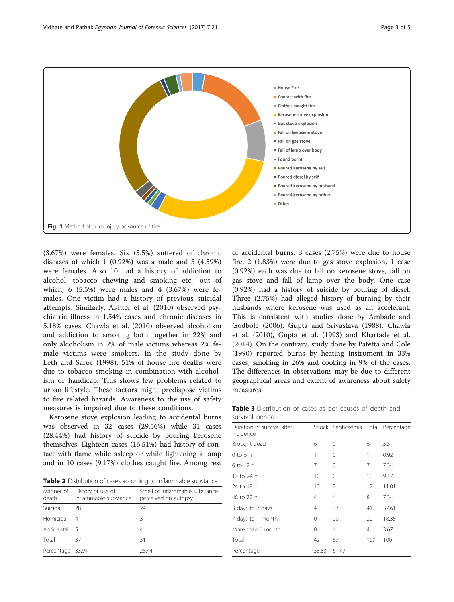<span id="page-2-0"></span>

(3.67%) were females. Six (5.5%) suffered of chronic diseases of which 1 (0.92%) was a male and 5 (4.59%) were females. Also 10 had a history of addiction to alcohol, tobacco chewing and smoking etc., out of which, 6 (5.5%) were males and 4 (3.67%) were females. One victim had a history of previous suicidal attempts. Similarly, Akhter et al. [\(2010](#page-4-0)) observed psychiatric illness in 1.54% cases and chronic diseases in 5.18% cases. Chawla et al. ([2010\)](#page-4-0) observed alcoholism and addiction to smoking both together in 22% and only alcoholism in 2% of male victims whereas 2% female victims were smokers. In the study done by Leth and Saroc ([1998\)](#page-4-0), 51% of house fire deaths were due to tobacco smoking in combination with alcoholism or handicap. This shows few problems related to urban lifestyle. These factors might predispose victims to fire related hazards. Awareness to the use of safety measures is impaired due to these conditions.

Kerosene stove explosion leading to accidental burns was observed in 32 cases (29.56%) while 31 cases (28.44%) had history of suicide by pouring kerosene themselves. Eighteen cases (16.51%) had history of contact with flame while asleep or while lightening a lamp and in 10 cases (9.17%) clothes caught fire. Among rest

Table 2 Distribution of cases according to inflammable substance

| death            | Manner of History of use of<br>inflammable substance | Smell of inflammable substance<br>perceived on autopsy |
|------------------|------------------------------------------------------|--------------------------------------------------------|
| Suicidal         | 28                                                   | 24                                                     |
| Homicidal        | 4                                                    | 3                                                      |
| Accidental       | - 5                                                  | 4                                                      |
| Total            | 37                                                   | 31                                                     |
| Percentage 33.94 |                                                      | 28.44                                                  |
|                  |                                                      |                                                        |

of accidental burns, 3 cases (2.75%) were due to house fire, 2 (1.83%) were due to gas stove explosion, 1 case (0.92%) each was due to fall on kerosene stove, fall on gas stove and fall of lamp over the body. One case (0.92%) had a history of suicide by pouring of diesel. Three (2.75%) had alleged history of burning by their husbands where kerosene was used as an accelerant. This is consistent with studies done by Ambade and Godbole ([2006\)](#page-4-0), Gupta and Srivastava [\(1988\)](#page-4-0), Chawla et al. ([2010\)](#page-4-0), Gupta et al. [\(1993\)](#page-4-0) and Khartade et al. ([2014\)](#page-4-0). On the contrary, study done by Patetta and Cole ([1990\)](#page-4-0) reported burns by heating instrument in 33% cases, smoking in 26% and cooking in 9% of the cases. The differences in observations may be due to different geographical areas and extent of awareness about safety measures.

Table 3 Distribution of cases as per causes of death and survival period

| Duration of survival after<br>incidence |          | Shock Septicaemia Total Percentage |                |       |
|-----------------------------------------|----------|------------------------------------|----------------|-------|
| Brought dead                            | 6        | 0                                  | 6              | 5.5   |
| $0$ to 6 h                              | 1        | 0                                  | 1              | 0.92  |
| 6 to 12 h                               | 7        | 0                                  | 7              | 7.34  |
| 12 to 24 h                              | 10       | 0                                  | 10             | 9.17  |
| 24 to 48 h                              | 10       | 2                                  | 12             | 11.01 |
| 48 to 72 h                              | 4        | 4                                  | 8              | 7.34  |
| 3 days to 7 days                        | 4        | 37                                 | 41             | 37.61 |
| 7 days to 1 month                       | 0        | 20                                 | 20             | 18.35 |
| More than 1 month                       | $\Omega$ | 4                                  | $\overline{4}$ | 3.67  |
| Total                                   | 42       | 67                                 | 109            | 100   |
| Percentage                              | 38.53    | 61.47                              |                |       |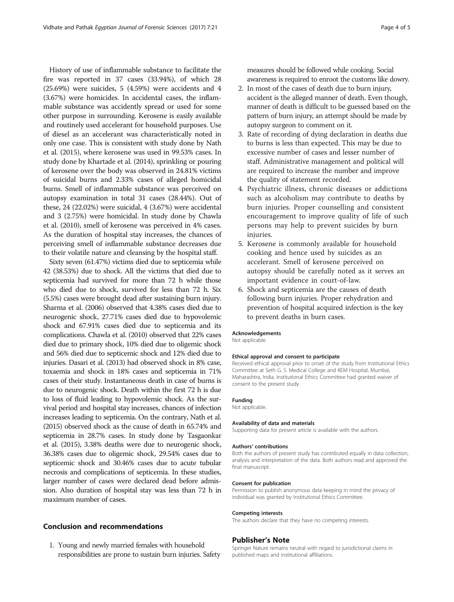History of use of inflammable substance to facilitate the fire was reported in 37 cases (33.94%), of which 28 (25.69%) were suicides, 5 (4.59%) were accidents and 4 (3.67%) were homicides. In accidental cases, the inflammable substance was accidently spread or used for some other purpose in surrounding. Kerosene is easily available and routinely used accelerant for household purposes. Use of diesel as an accelerant was characteristically noted in only one case. This is consistent with study done by Nath et al. [\(2015](#page-4-0)), where kerosene was used in 99.53% cases. In study done by Khartade et al. [\(2014\)](#page-4-0), sprinkling or pouring of kerosene over the body was observed in 24.81% victims of suicidal burns and 2.33% cases of alleged homicidal burns. Smell of inflammable substance was perceived on autopsy examination in total 31 cases (28.44%). Out of these, 24 (22.02%) were suicidal, 4 (3.67%) were accidental and 3 (2.75%) were homicidal. In study done by Chawla et al. [\(2010](#page-4-0)), smell of kerosene was perceived in 4% cases. As the duration of hospital stay increases, the chances of perceiving smell of inflammable substance decreases due to their volatile nature and cleansing by the hospital staff.

Sixty seven (61.47%) victims died due to septicemia while 42 (38.53%) due to shock. All the victims that died due to septicemia had survived for more than 72 h while those who died due to shock, survived for less than 72 h. Six (5.5%) cases were brought dead after sustaining burn injury. Sharma et al. ([2006\)](#page-4-0) observed that 4.38% cases died due to neurogenic shock, 27.71% cases died due to hypovolemic shock and 67.91% cases died due to septicemia and its complications. Chawla et al. [\(2010](#page-4-0)) observed that 22% cases died due to primary shock, 10% died due to oligemic shock and 56% died due to septicemic shock and 12% died due to injuries. Dasari et al. [\(2013](#page-4-0)) had observed shock in 8% case, toxaemia and shock in 18% cases and septicemia in 71% cases of their study. Instantaneous death in case of burns is due to neurogenic shock. Death within the first 72 h is due to loss of fluid leading to hypovolemic shock. As the survival period and hospital stay increases, chances of infection increases leading to septicemia. On the contrary, Nath et al. ([2015\)](#page-4-0) observed shock as the cause of death in 65.74% and septicemia in 28.7% cases. In study done by Tasgaonkar et al. [\(2015\)](#page-4-0), 3.38% deaths were due to neurogenic shock, 36.38% cases due to oligemic shock, 29.54% cases due to septicemic shock and 30.46% cases due to acute tubular necrosis and complications of septicemia. In these studies, larger number of cases were declared dead before admission. Also duration of hospital stay was less than 72 h in maximum number of cases.

## Conclusion and recommendations

1. Young and newly married females with household responsibilities are prone to sustain burn injuries. Safety

measures should be followed while cooking. Social awareness is required to enroot the customs like dowry.

- 2. In most of the cases of death due to burn injury, accident is the alleged manner of death. Even though, manner of death is difficult to be guessed based on the pattern of burn injury, an attempt should be made by autopsy surgeon to comment on it.
- 3. Rate of recording of dying declaration in deaths due to burns is less than expected. This may be due to excessive number of cases and lesser number of staff. Administrative management and political will are required to increase the number and improve the quality of statement recorded.
- 4. Psychiatric illness, chronic diseases or addictions such as alcoholism may contribute to deaths by burn injuries. Proper counselling and consistent encouragement to improve quality of life of such persons may help to prevent suicides by burn injuries.
- 5. Kerosene is commonly available for household cooking and hence used by suicides as an accelerant. Smell of kerosene perceived on autopsy should be carefully noted as it serves an important evidence in court-of-law.
- 6. Shock and septicemia are the causes of death following burn injuries. Proper rehydration and prevention of hospital acquired infection is the key to prevent deaths in burn cases.

#### Acknowledgements

Not applicable.

#### Ethical approval and consent to participate

Received ethical approval prior to onset of the study from Institutional Ethics Committee at Seth G. S. Medical College and KEM Hospital, Mumbai, Maharashtra, India. Institutional Ethics Committee had granted waiver of consent to the present study.

#### Funding

Not applicable.

#### Availability of data and materials

Supporting data for present article is available with the authors.

#### Authors' contributions

Both the authors of present study has contributed equally in data collection, analysis and interpretation of the data. Both authors read and approved the final manuscript.

#### Consent for publication

Permission to publish anonymous data keeping in mind the privacy of individual was granted by Institutional Ethics Committee.

#### Competing interests

The authors declare that they have no competing interests.

#### Publisher's Note

Springer Nature remains neutral with regard to jurisdictional claims in published maps and institutional affiliations.